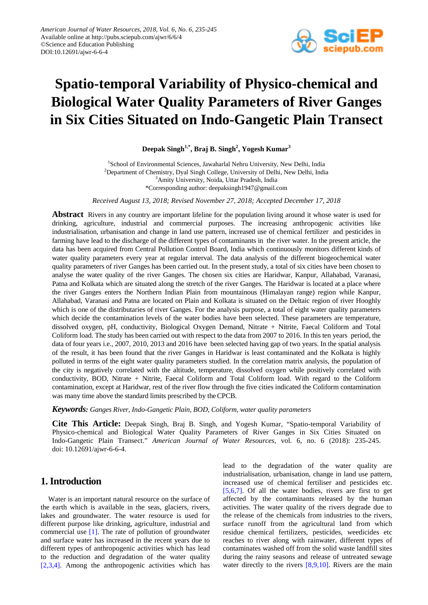

# **Spatio-temporal Variability of Physico-chemical and Biological Water Quality Parameters of River Ganges in Six Cities Situated on Indo-Gangetic Plain Transect**

**Deepak Singh1,\* , Braj B. Singh2 , Yogesh Kumar<sup>3</sup>**

<sup>1</sup>School of Environmental Sciences, Jawaharlal Nehru University, New Delhi, India <sup>2</sup>Department of Chemistry, Dyal Singh College, University of Delhi, New Delhi, India <sup>3</sup>Amity University, Noida, Uttar Pradesh, India \*Corresponding author: deepaksingh1947@gmail.com

*Received August 13, 2018; Revised November 27, 2018; Accepted December 17, 2018*

**Abstract** Rivers in any country are important lifeline for the population living around it whose water is used for drinking, agriculture, industrial and commercial purposes. The increasing anthropogenic activities like industrialisation, urbanisation and change in land use pattern, increased use of chemical fertilizer and pesticides in farming have lead to the discharge of the different types of contaminants in the river water. In the present article, the data has been acquired from Central Pollution Control Board, India which continuously monitors different kinds of water quality parameters every year at regular interval. The data analysis of the different biogeochemical water quality parameters of river Ganges has been carried out. In the present study, a total of six cities have been chosen to analyse the water quality of the river Ganges. The chosen six cities are Haridwar, Kanpur, Allahabad, Varanasi, Patna and Kolkata which are situated along the stretch of the river Ganges. The Haridwar is located at a place where the river Ganges enters the Northern Indian Plain from mountainous (Himalayan range) region while Kanpur, Allahabad, Varanasi and Patna are located on Plain and Kolkata is situated on the Deltaic region of river Hooghly which is one of the distributaries of river Ganges. For the analysis purpose, a total of eight water quality parameters which decide the contamination levels of the water bodies have been selected. These parameters are temperature, dissolved oxygen, pH, conductivity, Biological Oxygen Demand, Nitrate + Nitrite, Faecal Coliform and Total Coliform load. The study has been carried out with respect to the data from 2007 to 2016. In this ten years period, the data of four years i.e., 2007, 2010, 2013 and 2016 have been selected having gap of two years. In the spatial analysis of the result, it has been found that the river Ganges in Haridwar is least contaminated and the Kolkata is highly polluted in terms of the eight water quality parameters studied. In the correlation matrix analysis, the population of the city is negatively correlated with the altitude, temperature, dissolved oxygen while positively correlated with conductivity, BOD, Nitrate + Nitrite, Faecal Coliform and Total Coliform load. With regard to the Coliform contamination, except at Haridwar, rest of the river flow through the five cities indicated the Coliform contamination was many time above the standard limits prescribed by theCPCB.

*Keywords: Ganges River, Indo-Gangetic Plain, BOD, Coliform, water quality parameters*

**Cite This Article:** Deepak Singh, Braj B. Singh, and Yogesh Kumar, "Spatio-temporal Variability of Physico-chemical and Biological Water Quality Parameters of River Ganges in Six Cities Situated on Indo-Gangetic Plain Transect." *American Journal of Water Resources*, vol. 6, no. 6 (2018): 235-245. doi: 10.12691/ajwr-6-6-4.

## **1. Introduction**

Water is an important natural resource on the surface of the earth which is available in the seas, glaciers, rivers, lakes and groundwater. The water resource is used for different purpose like drinking, agriculture, industrial and commercial use [\[1\].](#page-9-0) The rate of pollution of groundwater and surface water has increased in the recent years due to different types of anthropogenic activities which has lead to the reduction and degradation of the water quality [\[2,3,4\].](#page-9-1) Among the anthropogenic activities which has

lead to the degradation of the water quality are industrialisation, urbanisation, change in land use pattern, increased use of chemical fertiliser and pesticides etc. [\[5,6,7\].](#page-9-2) Of all the water bodies, rivers are first to get affected by the contaminants released by the human activities. The water quality of the rivers degrade due to the release of the chemicals from industries to the rivers, surface runoff from the agricultural land from which residue chemical fertilizers, pesticides, weedicides etc reaches to river along with rainwater, different types of contaminates washed off from the solid waste landfill sites during the rainy seasons and release of untreated sewage water directly to the rivers [\[8,9,10\].](#page-9-3) Rivers are the main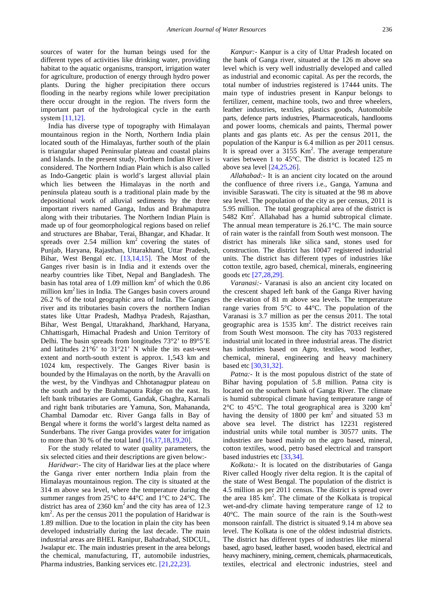sources of water for the human beings used for the different types of activities like drinking water, providing habitat to the aquatic organisms, transport, irrigation water for agriculture, production of energy through hydro power plants. During the higher precipitation there occurs flooding in the nearby regions while lower precipitation there occur drought in the region. The rivers form the important part of the hydrological cycle in the earth system [\[11,12\].](#page-9-4)

India has diverse type of topography with Himalayan mountainous region in the North, Northern India plain located south of the Himalayas, further south of the plain is triangular shaped Peninsular plateau and coastal plains and Islands. In the present study, Northern Indian River is considered. The Northern Indian Plain which is also called as Indo-Gangetic plain is world's largest alluvial plain which lies between the Himalayas in the north and peninsula plateau south is a traditional plain made by the depositional work of alluvial sediments by the three important rivers named Ganga, Indus and Brahmaputra along with their tributaries. The Northern Indian Plain is made up of four geomorphological regions based on relief and structures are Bhabar, Terai, Bhangar, and Khadar. It spreads over  $2.54$  million  $km^2$  covering the states of Punjab, Haryana, Rajasthan, Uttarakhand, Uttar Pradesh, Bihar, West Bengal etc. [\[13,14,15\].](#page-9-5) The Most of the Ganges river basin is in India and it extends over the nearby countries like Tibet, Nepal and Bangladesh. The basin has total area of 1.09 million  $km<sup>2</sup>$  of which the 0.86 million  $km^2$  lies in India. The Ganges basin covers around 26.2 % of the total geographic area of India. The Ganges river and its tributaries basin covers the northern Indian states like Uttar Pradesh, Madhya Pradesh, Rajasthan, Bihar, West Bengal, Uttarakhand, Jharkhand, Haryana, Chhattisgarh, Himachal Pradesh and Union Territory of Delhi. The basin spreads from longitudes 73°2' to 89°5'E and latitudes 21°6' to 31°21' N while the its east-west extent and north-south extent is approx. 1,543 km and 1024 km, respectively. The Ganges River basin is bounded by the Himalayas on the north, by the Aravalli on the west, by the Vindhyas and Chhotanagpur plateau on the south and by the Brahmaputra Ridge on the east. Its left bank tributaries are Gomti, Gandak, Ghaghra, Karnali and right bank tributaries are Yamuna, Son, Mahananda, Chambal Damodar etc. River Ganga falls in Bay of Bengal where it forms the world's largest delta named as Sunderbans. The river Ganga provides water for irrigation to more than 30 % of the total land [\[16,17,18,19,20\].](#page-9-6)

For the study related to water quality parameters, the six selected cities and their descriptions are given below:-

*Haridwar*:- The city of Haridwar lies at the place where the Ganga river enter northern India plain from the Himalayas mountainous region. The city is situated at the 314 m above sea level, where the temperature during the summer ranges from 25°C to 44°C and 1°C to 24°C. The district has area of  $2360 \text{ km}^2$  and the city has area of 12.3  $km<sup>2</sup>$ . As per the census 2011 the population of Haridwar is 1.89 million. Due to the location in plain the city has been developed industrially during the last decade. The main industrial areas are BHEL Ranipur, Bahadrabad, SIDCUL, Jwalapur etc. The main industries present in the area belongs the chemical, manufacturing, IT, automobile industries, Pharma industries, Banking services etc. [\[21,22,23\].](#page-9-7)

*Kanpur:-* Kanpur is a city of Uttar Pradesh located on the bank of Ganga river, situated at the 126 m above sea level which is very well industrially developed and called as industrial and economic capital. As per the records, the total number of industries registered is 17444 units. The main type of industries present in Kanpur belongs to fertilizer, cement, machine tools, two and three wheelers, leather industries, textiles, plastics goods, Automobile parts, defence parts industries, Pharmaceuticals, handlooms and power looms, chemicals and paints, Thermal power plants and gas plants etc. As per the census 2011, the population of the Kanpur is 6.4 million as per 2011 census. It is spread over a  $3155$  Km<sup>2</sup>. The average temperature varies between 1 to 45°C. The district is located 125 m above sea level [\[24,25,26\].](#page-9-8)

*Allahabad:-* It is an ancient city located on the around the confluence of three rivers i.e., Ganga, Yamuna and invisible Saraswati. The city is situated at the 98 m above sea level. The population of the city as per census, 2011 is 5.95 million. The total geographical area of the district is 5482 Km2 . Allahabad has a humid subtropical climate. The annual mean temperature is 26.1°C. The main source of rain water is the rainfall from South west monsoon. The district has minerals like silica sand, stones used for construction. The district has 10047 registered industrial units. The district has different types of industries like cotton textile, agro based, chemical, minerals, engineering goods et[c \[27,28,29\].](#page-9-9)

*Varanasi:-* Varanasi is also an ancient city located on the crescent shaped left bank of the Ganga River having the elevation of 81 m above sea levels. The temperature range varies from 5°C to 44°C. The population of the Varanasi is 3.7 million as per the census 2011. The total geographic area is  $1535 \text{ km}^2$ . The district receives rain from South West monsoon. The city has 7033 registered industrial unit located in three industrial areas. The district has industries based on Agro, textiles, wood leather, chemical, mineral, engineering and heavy machinery based etc [\[30,31,32\].](#page-10-0)

*Patna:*- It is the most populous district of the state of Bihar having population of 5.8 million. Patna city is located on the southern bank of Ganga River. The climate is humid subtropical climate having temperature range of  $2^{\circ}$ C to 45<sup>o</sup>C. The total geographical area is 3200 km<sup>2</sup> having the density of 1800 per  $km^2$  and situated 53 m above sea level. The district has 12231 registered industrial units while total number is 30577 units. The industries are based mainly on the agro based, mineral, cotton textiles, wood, petro based electrical and transport based industries etc [\[33,34\].](#page-10-1)

*Kolkata:-* It is located on the distributaries of Ganga River called Hoogly river delta region. It is the capital of the state of West Bengal. The population of the district is 4.5 million as per 2011 census. The district is spread over the area  $185 \text{ km}^2$ . The climate of the Kolkata is tropical wet-and-dry climate having temperature range of 12 to 40°C. The main source of the rain is the South-west monsoon rainfall. The district is situated 9.14 m above sea level. The Kolkata is one of the oldest industrial districts. The district has different types of industries like mineral based, agro based, leather based, wooden based, electrical and heavy machinery, mining, cement, chemicals, pharmaceuticals, textiles, electrical and electronic industries, steel and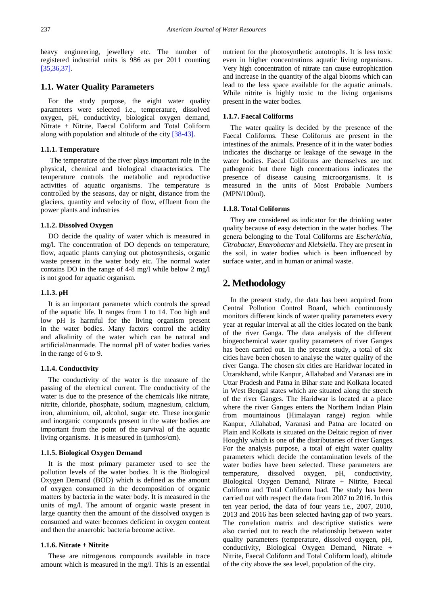heavy engineering, jewellery etc. The number of registered industrial units is 986 as per 2011 counting [\[35,36,37\].](#page-10-2)

### **1.1. Water Quality Parameters**

For the study purpose, the eight water quality parameters were selected i.e., temperature, dissolved oxygen, pH, conductivity, biological oxygen demand, Nitrate + Nitrite, Faecal Coliform and Total Coliform along with population and altitude of the city [\[38-43\].](#page-10-3)

#### **1.1.1. Temperature**

The temperature of the river plays important role in the physical, chemical and biological characteristics. The temperature controls the metabolic and reproductive activities of aquatic organisms. The temperature is controlled by the seasons, day or night, distance from the glaciers, quantity and velocity of flow, effluent from the power plants and industries

#### **1.1.2. Dissolved Oxygen**

DO decide the quality of water which is measured in mg/l. The concentration of DO depends on temperature, flow, aquatic plants carrying out photosynthesis, organic waste present in the water body etc. The normal water contains DO in the range of 4-8 mg/l while below 2 mg/l is not good for aquatic organism.

#### **1.1.3. pH**

It is an important parameter which controls the spread of the aquatic life. It ranges from 1 to 14. Too high and low pH is harmful for the living organism present in the water bodies. Many factors control the acidity and alkalinity of the water which can be natural and artificial/manmade. The normal pH of water bodies varies in the range of 6 to 9.

#### **1.1.4. Conductivity**

The conductivity of the water is the measure of the passing of the electrical current. The conductivity of the water is due to the presence of the chemicals like nitrate, nitrite, chloride, phosphate, sodium, magnesium, calcium, iron, aluminium, oil, alcohol, sugar etc. These inorganic and inorganic compounds present in the water bodies are important from the point of the survival of the aquatic living organisms. It is measured in ( $\mu$ mhos/cm).

#### **1.1.5. Biological Oxygen Demand**

It is the most primary parameter used to see the pollution levels of the water bodies. It is the Biological Oxygen Demand (BOD) which is defined as the amount of oxygen consumed in the decomposition of organic matters by bacteria in the water body. It is measured in the units of mg/l. The amount of organic waste present in large quantity then the amount of the dissolved oxygen is consumed and water becomes deficient in oxygen content and then the anaerobic bacteria become active.

#### **1.1.6. Nitrate + Nitrite**

These are nitrogenous compounds available in trace amount which is measured in the mg/l. This is an essential nutrient for the photosynthetic autotrophs. It is less toxic even in higher concentrations aquatic living organisms. Very high concentration of nitrate can cause eutrophication and increase in the quantity of the algal blooms which can lead to the less space available for the aquatic animals. While nitrite is highly toxic to the living organisms present in the water bodies.

#### **1.1.7. Faecal Coliforms**

The water quality is decided by the presence of the Faecal Coliforms. These Coliforms are present in the intestines of the animals. Presence of it in the water bodies indicates the discharge or leakage of the sewage in the water bodies. Faecal Coliforms are themselves are not pathogenic but there high concentrations indicates the presence of disease causing microorganisms. It is measured in the units of Most Probable Numbers (MPN/100ml).

#### **1.1.8. Total Coliforms**

They are considered as indicator for the drinking water quality because of easy detection in the water bodies. The genera belonging to the Total Coliforms are *Escherichia*, *Citrobacter*, *Enterobacter* and *Klebsiella*. They are present in the soil, in water bodies which is been influenced by surface water, and in human or animal waste.

# **2. Methodology**

In the present study, the data has been acquired from Central Pollution Control Board, which continuously monitors different kinds of water quality parameters every year at regular interval at all the cities located on the bank of the river Ganga. The data analysis of the different biogeochemical water quality parameters of river Ganges has been carried out. In the present study, a total of six cities have been chosen to analyse the water quality of the river Ganga. The chosen six cities are Haridwar located in Uttarakhand, while Kanpur, Allahabad and Varanasi are in Uttar Pradesh and Patna in Bihar state and Kolkata located in West Bengal states which are situated along the stretch of the river Ganges. The Haridwar is located at a place where the river Ganges enters the Northern Indian Plain from mountainous (Himalayan range) region while Kanpur, Allahabad, Varanasi and Patna are located on Plain and Kolkata is situated on the Deltaic region of river Hooghly which is one of the distributaries of river Ganges. For the analysis purpose, a total of eight water quality parameters which decide the contamination levels of the water bodies have been selected. These parameters are temperature, dissolved oxygen, pH, conductivity, Biological Oxygen Demand, Nitrate + Nitrite, Faecal Coliform and Total Coliform load. The study has been carried out with respect the data from 2007 to 2016. In this ten year period, the data of four years i.e., 2007, 2010, 2013 and 2016 has been selected having gap of two years. The correlation matrix and descriptive statistics were also carried out to reach the relationship between water quality parameters (temperature, dissolved oxygen, pH, conductivity, Biological Oxygen Demand, Nitrate + Nitrite, Faecal Coliform and Total Coliform load), altitude of the city above the sea level, population of the city.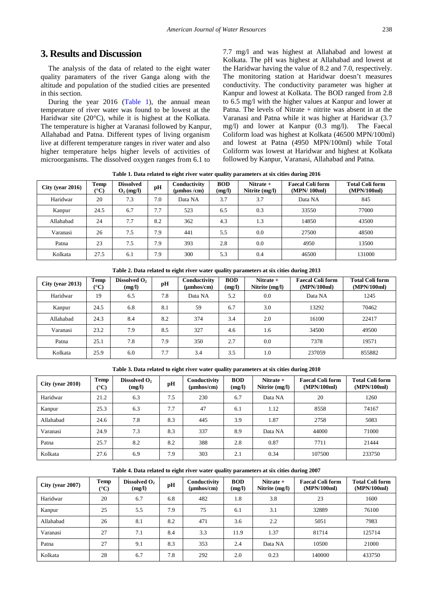## **3. Results and Discussion**

The analysis of the data of related to the eight water quality paramaters of the river Ganga along with the altitude and population of the studied cities are presented in this section.

During the year 2016 [\(Table 1\)](#page-3-0), the annual mean temperature of river water was found to be lowest at the Haridwar site (20°C), while it is highest at the Kolkata. The temperature is higher at Varanasi followed by Kanpur, Allahabad and Patna. Different types of living organism live at different temperature ranges in river water and also higher temperature helps higher levels of activities of microorganisms. The dissolved oxygen ranges from 6.1 to

7.7 mg/l and was highest at Allahabad and lowest at Kolkata. The pH was highest at Allahabad and lowest at the Haridwar having the value of 8.2 and 7.0, respectively. The monitoring station at Haridwar doesn't measures conductivity. The conductivity parameter was higher at Kanpur and lowest at Kolkata. The BOD ranged from 2.8 to 6.5 mg/l with the higher values at Kanpur and lower at Patna. The levels of Nitrate + nitrite was absent in at the Varanasi and Patna while it was higher at Haridwar (3.7 mg/l) and lower at Kanpur (0.3 mg/l). The Faecal Coliform load was highest at Kolkata (46500 MPN/100ml) and lowest at Patna (4950 MPN/100ml) while Total Coliform was lowest at Haridwar and highest at Kolkata followed by Kanpur, Varanasi, Allahabad and Patna.

**Table 1. Data related to eight river water quality parameters at six cities during 2016**

<span id="page-3-0"></span>

| City (year $2016$ ) | <b>Temp</b><br>$(^{\circ}C)$ | <b>Dissolved</b><br>$O_2$ (mg/l) | pH  | Conductivity<br>(umhos /cm) | <b>BOD</b><br>(mg/l) | Nitrate +<br>Nitrite (mg/l) | <b>Faecal Coli form</b><br>(MPN/100ml) | <b>Total Coli form</b><br>(MPN/100ml) |
|---------------------|------------------------------|----------------------------------|-----|-----------------------------|----------------------|-----------------------------|----------------------------------------|---------------------------------------|
| Haridwar            | 20                           | 7.3                              | 7.0 | Data NA                     | 3.7                  | 3.7                         | Data NA                                | 845                                   |
| Kanpur              | 24.5                         | 6.7                              | 7.7 | 523                         | 6.5                  | 0.3                         | 33550                                  | 77000                                 |
| Allahabad           | 24                           | 7.7                              | 8.2 | 362                         | 4.3                  | 1.3                         | 14850                                  | 43500                                 |
| Varanasi            | 26                           | 7.5                              | 7.9 | 441                         | 5.5                  | 0.0                         | 27500                                  | 48500                                 |
| Patna               | 23                           | 7.5                              | 7.9 | 393                         | 2.8                  | 0.0                         | 4950                                   | 13500                                 |
| Kolkata             | 27.5                         | 6.1                              | 7.9 | 300                         | 5.3                  | 0.4                         | 46500                                  | 131000                                |

|                     | Table 2. Daia Feated to eight fiver water quanty parameters at six clues during 2010 |                                    |     |                                        |                      |                                 |                                        |                                       |  |  |  |  |
|---------------------|--------------------------------------------------------------------------------------|------------------------------------|-----|----------------------------------------|----------------------|---------------------------------|----------------------------------------|---------------------------------------|--|--|--|--|
| City (year $2013$ ) | Temp<br>$({}^{\circ}{\bf C})$                                                        | Dissolved O <sub>2</sub><br>(mg/l) | pН  | Conductivity<br>$(\mu \text{mhos/cm})$ | <b>BOD</b><br>(mg/l) | Nitrate $+$<br>Nitrite $(mg/l)$ | <b>Faecal Coli form</b><br>(MPN/100ml) | <b>Total Coli form</b><br>(MPN/100ml) |  |  |  |  |
| Haridwar            | 19                                                                                   | 6.5                                | 7.8 | Data NA                                | 5.2                  | 0.0                             | Data NA                                | 1245                                  |  |  |  |  |
| Kanpur              | 24.5                                                                                 | 6.8                                | 8.1 | 59                                     | 6.7                  | 3.0                             | 13292                                  | 70462                                 |  |  |  |  |
| Allahabad           | 24.3                                                                                 | 8.4                                | 8.2 | 374                                    | 3.4                  | 2.0                             | 16100                                  | 22417                                 |  |  |  |  |
| Varanasi            | 23.2                                                                                 | 7.9                                | 8.5 | 327                                    | 4.6                  | 1.6                             | 34500                                  | 49500                                 |  |  |  |  |
| Patna               | 25.1                                                                                 | 7.8                                | 7.9 | 350                                    | 2.7                  | 0.0                             | 7378                                   | 19571                                 |  |  |  |  |
| Kolkata             | 25.9                                                                                 | 6.0                                | 7.7 | 3.4                                    | 3.5                  | 1.0                             | 237059                                 | 855882                                |  |  |  |  |

**Table 2. Data related to eight river water quality parameters at six cities during 2013**

**Table 3. Data related to eight river water quality parameters at six cities during 2010**

| $City$ (year 2010) | <b>Temp</b><br>$^{\circ}$ C) | Dissolved O <sub>2</sub><br>(mg/l) | pH  | Conductivity<br>$(\mu \text{mhos/cm})$ | <b>BOD</b><br>(mg/l) | Nitrate $+$<br>Nitrite (mg/l) | <b>Faecal Coli form</b><br>(MPN/100ml) | <b>Total Coli form</b><br>(MPN/100ml) |
|--------------------|------------------------------|------------------------------------|-----|----------------------------------------|----------------------|-------------------------------|----------------------------------------|---------------------------------------|
| Haridwar           | 21.2                         | 6.3                                | 7.5 | 230                                    | 6.7                  | Data NA                       | 20                                     | 1260                                  |
| Kanpur             | 25.3                         | 6.3                                | 7.7 | 47                                     | 6.1                  | 1.12                          | 8558                                   | 74167                                 |
| Allahabad          | 24.6                         | 7.8                                | 8.3 | 445                                    | 3.9                  | 1.87                          | 2758                                   | 5083                                  |
| Varanasi           | 24.9                         | 7.3                                | 8.3 | 337                                    | 8.9                  | Data NA                       | 44000                                  | 71000                                 |
| Patna              | 25.7                         | 8.2                                | 8.2 | 388                                    | 2.8                  | 0.87                          | 7711                                   | 21444                                 |
| Kolkata            | 27.6                         | 6.9                                | 7.9 | 303                                    | 2.1                  | 0.34                          | 107500                                 | 233750                                |

#### **Table 4. Data related to eight river water quality parameters at six cities during 2007**

| $City$ (year 2007) | <b>Temp</b><br>$({}^{\circ}C)$ | Dissolved O <sub>2</sub><br>(mg/l) | pH  | Conductivity<br>(umhos/cm) | <b>BOD</b><br>(mg/l) | Nitrate $+$<br>Nitrite (mg/l) | <b>Faecal Coli form</b><br>(MPN/100ml) | <b>Total Coli form</b><br>(MPN/100ml) |
|--------------------|--------------------------------|------------------------------------|-----|----------------------------|----------------------|-------------------------------|----------------------------------------|---------------------------------------|
| Haridwar           | 20                             | 6.7                                | 6.8 | 482                        | 1.8                  | 3.8                           | 23                                     | 1600                                  |
| Kanpur             | 25                             | 5.5                                | 7.9 | 75                         | 6.1                  | 3.1                           | 32889                                  | 76100                                 |
| Allahabad          | 26                             | 8.1                                | 8.2 | 471                        | 3.6                  | 2.2                           | 5051                                   | 7983                                  |
| Varanasi           | 27                             | 7.1                                | 8.4 | 3.3                        | 11.9                 | 1.37                          | 81714                                  | 125714                                |
| Patna              | 27                             | 9.1                                | 8.3 | 353                        | 2.4                  | Data NA                       | 10500                                  | 21000                                 |
| Kolkata            | 28                             | 6.7                                | 7.8 | 292                        | 2.0                  | 0.23                          | 140000                                 | 433750                                |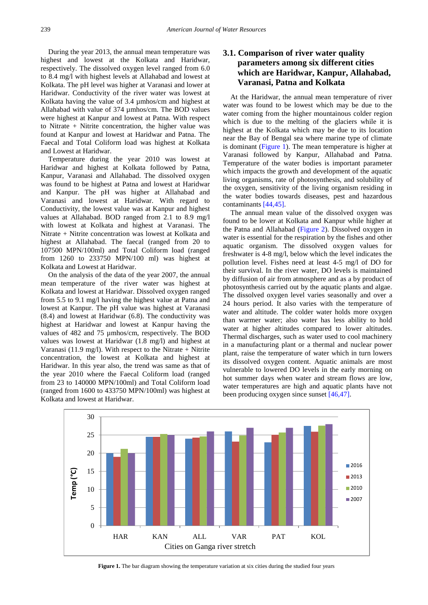During the year 2013, the annual mean temperature was highest and lowest at the Kolkata and Haridwar, respectively. The dissolved oxygen level ranged from 6.0 to 8.4 mg/l with highest levels at Allahabad and lowest at Kolkata. The pH level was higher at Varanasi and lower at Haridwar. Conductivity of the river water was lowest at Kolkata having the value of 3.4 µmhos/cm and highest at Allahabad with value of 374 µmhos/cm. The BOD values were highest at Kanpur and lowest at Patna. With respect to Nitrate + Nitrite concentration, the higher value was found at Kanpur and lowest at Haridwar and Patna. The Faecal and Total Coliform load was highest at Kolkata and Lowest at Haridwar.

Temperature during the year 2010 was lowest at Haridwar and highest at Kolkata followed by Patna, Kanpur, Varanasi and Allahabad. The dissolved oxygen was found to be highest at Patna and lowest at Haridwar and Kanpur. The pH was higher at Allahabad and Varanasi and lowest at Haridwar. With regard to Conductivity, the lowest value was at Kanpur and highest values at Allahabad. BOD ranged from 2.1 to 8.9 mg/l with lowest at Kolkata and highest at Varanasi. The Nitrate + Nitrite concentration was lowest at Kolkata and highest at Allahabad. The faecal (ranged from 20 to 107500 MPN/100ml) and Total Coliform load (ranged from 1260 to 233750 MPN/100 ml) was highest at Kolkata and Lowest at Haridwar.

On the analysis of the data of the year 2007, the annual mean temperature of the river water was highest at Kolkata and lowest at Haridwar. Dissolved oxygen ranged from 5.5 to 9.1 mg/l having the highest value at Patna and lowest at Kanpur. The pH value was highest at Varanasi (8.4) and lowest at Haridwar (6.8). The conductivity was highest at Haridwar and lowest at Kanpur having the values of 482 and 75 µmhos/cm, respectively. The BOD values was lowest at Haridwar (1.8 mg/l) and highest at Varanasi (11.9 mg/l). With respect to the Nitrate + Nitrite concentration, the lowest at Kolkata and highest at Haridwar. In this year also, the trend was same as that of the year 2010 where the Faecal Coliform load (ranged from 23 to 140000 MPN/100ml) and Total Coliform load (ranged from 1600 to 433750 MPN/100ml) was highest at Kolkata and lowest at Haridwar.

## **3.1. Comparison of river water quality parameters among six different cities which are Haridwar, Kanpur, Allahabad, Varanasi, Patna and Kolkata**

At the Haridwar, the annual mean temperature of river water was found to be lowest which may be due to the water coming from the higher mountainous colder region which is due to the melting of the glaciers while it is highest at the Kolkata which may be due to its location near the Bay of Bengal sea where marine type of climate is dominant [\(Figure 1\)](#page-4-0). The mean temperature is higher at Varanasi followed by Kanpur, Allahabad and Patna. Temperature of the water bodies is important parameter which impacts the growth and development of the aquatic living organisms, rate of photosynthesis, and solubility of the oxygen, sensitivity of the living organism residing in the water bodies towards diseases, pest and hazardous contaminants [\[44,45\].](#page-10-4)

The annual mean value of the dissolved oxygen was found to be lower at Kolkata and Kanpur while higher at the Patna and Allahabad [\(Figure 2\)](#page-5-0). Dissolved oxygen in water is essential for the respiration by the fishes and other aquatic organism. The dissolved oxygen values for freshwater is 4-8 mg/l, below which the level indicates the pollution level. Fishes need at least 4-5 mg/l of DO for their survival. In the river water, DO levels is maintained by diffusion of air from atmosphere and as a by product of photosynthesis carried out by the aquatic plants and algae. The dissolved oxygen level varies seasonally and over a 24 hours period. It also varies with the temperature of water and altitude. The colder water holds more oxygen than warmer water; also water has less ability to hold water at higher altitudes compared to lower altitudes. Thermal discharges, such as water used to cool machinery in a manufacturing plant or a thermal and nuclear power plant, raise the temperature of water which in turn lowers its dissolved oxygen content. Aquatic animals are most vulnerable to lowered DO levels in the early morning on hot summer days when water and stream flows are low, water temperatures are high and aquatic plants have not been producing oxygen since sunset [\[46,47\].](#page-10-5)

<span id="page-4-0"></span>

**Figure 1.** The bar diagram showing the temperature variation at six cities during the studied four years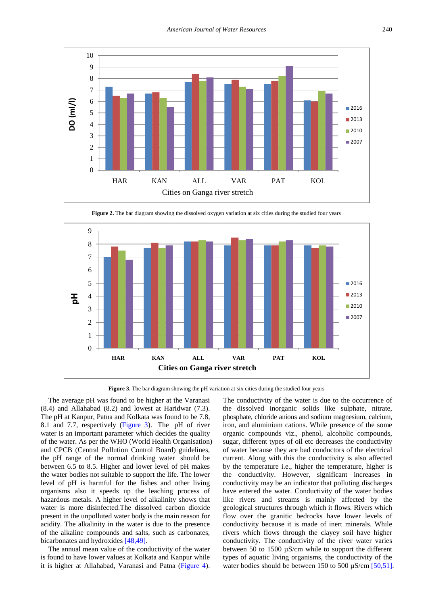<span id="page-5-0"></span>

**Figure 2.** The bar diagram showing the dissolved oxygen variation at six cities during the studied four years

<span id="page-5-1"></span>

**Figure 3.** The bar diagram showing the pH variation at six cities during the studied four years

The average pH was found to be higher at the Varanasi (8.4) and Allahabad (8.2) and lowest at Haridwar (7.3). The pH at Kanpur, Patna and Kolkata was found to be 7.8, 8.1 and 7.7, respectively [\(Figure 3\)](#page-5-1). The pH of river water is an important parameter which decides the quality of the water. As per the WHO (World Health Organisation) and CPCB (Central Pollution Control Board) guidelines, the pH range of the normal drinking water should be between 6.5 to 8.5. Higher and lower level of pH makes the water bodies not suitable to support the life. The lower level of pH is harmful for the fishes and other living organisms also it speeds up the leaching process of hazardous metals. A higher level of alkalinity shows that water is more disinfected.The dissolved carbon dioxide present in the unpolluted water body is the main reason for acidity. The alkalinity in the water is due to the presence of the alkaline compounds and salts, such as carbonates, bicarbonates and hydroxides [\[48,49\].](#page-10-6)

The annual mean value of the conductivity of the water is found to have lower values at Kolkata and Kanpur while it is higher at Allahabad, Varanasi and Patna [\(Figure 4\)](#page-6-0).

The conductivity of the water is due to the occurrence of the dissolved inorganic solids like sulphate, nitrate, phosphate, chloride anions and sodium magnesium, calcium, iron, and aluminium cations. While presence of the some organic compounds viz., phenol, alcoholic compounds, sugar, different types of oil etc decreases the conductivity of water because they are bad conductors of the electrical current. Along with this the conductivity is also affected by the temperature i.e., higher the temperature, higher is the conductivity. However, significant increases in conductivity may be an indicator that polluting discharges have entered the water. Conductivity of the water bodies like rivers and streams is mainly affected by the geological structures through which it flows. Rivers which flow over the granitic bedrocks have lower levels of conductivity because it is made of inert minerals. While rivers which flows through the clayey soil have higher conductivity. The conductivity of the river water varies between 50 to 1500 µS/cm while to support the different types of aquatic living organisms, the conductivity of the water bodies should be between 150 to 500  $\mu$ S/cm [\[50,51\].](#page-10-7)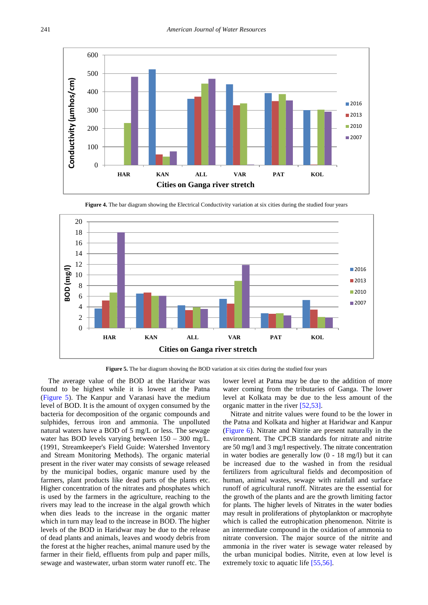<span id="page-6-0"></span>

**Figure 4.** The bar diagram showing the Electrical Conductivity variation at six cities during the studied four years

<span id="page-6-1"></span>

Figure 5. The bar diagram showing the BOD variation at six cities during the studied four years

The average value of the BOD at the Haridwar was found to be highest while it is lowest at the Patna [\(Figure 5\)](#page-6-1). The Kanpur and Varanasi have the medium level of BOD. It is the amount of oxygen consumed by the bacteria for decomposition of the organic compounds and sulphides, ferrous iron and ammonia. The unpolluted natural waters have a BOD of 5 mg/L or less. The sewage water has BOD levels varying between 150 – 300 mg/L. (1991, Streamkeeper's Field Guide: Watershed Inventory and Stream Monitoring Methods). The organic material present in the river water may consists of sewage released by the municipal bodies, organic manure used by the farmers, plant products like dead parts of the plants etc. Higher concentration of the nitrates and phosphates which is used by the farmers in the agriculture, reaching to the rivers may lead to the increase in the algal growth which when dies leads to the increase in the organic matter which in turn may lead to the increase in BOD. The higher levels of the BOD in Haridwar may be due to the release of dead plants and animals, leaves and woody debris from the forest at the higher reaches, animal manure used by the farmer in their field, effluents from pulp and paper mills, sewage and wastewater, urban storm water runoff etc. The

lower level at Patna may be due to the addition of more water coming from the tributaries of Ganga. The lower level at Kolkata may be due to the less amount of the organic matter in the river [\[52,53\].](#page-10-8)

Nitrate and nitrite values were found to be the lower in the Patna and Kolkata and higher at Haridwar and Kanpur [\(Figure 6\)](#page-7-0). Nitrate and Nitrite are present naturally in the environment. The CPCB standards for nitrate and nitrite are 50 mg/l and 3 mg/l respectively. The nitrate concentration in water bodies are generally low (0 - 18 mg/l) but it can be increased due to the washed in from the residual fertilizers from agricultural fields and decomposition of human, animal wastes, sewage with rainfall and surface runoff of agricultural runoff. Nitrates are the essential for the growth of the plants and are the growth limiting factor for plants. The higher levels of Nitrates in the water bodies may result in proliferations of phytoplankton or macrophyte which is called the eutrophication phenomenon. Nitrite is an intermediate compound in the oxidation of ammonia to nitrate conversion. The major source of the nitrite and ammonia in the river water is sewage water released by the urban municipal bodies. Nitrite, even at low level is extremely toxic to aquatic lif[e \[55,56\].](#page-10-9)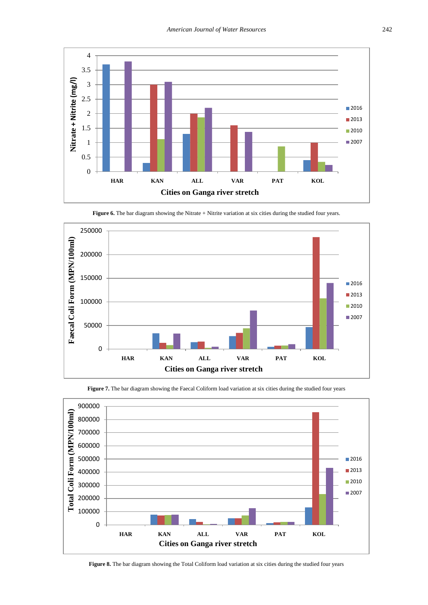<span id="page-7-0"></span>

<span id="page-7-1"></span>250000 Faecal Coli Form (MPN/100ml) **Faecal Coli Form (MPN/100ml)** 200000 150000 ■2016 ■2013 100000 ■2010 ■2007 50000 0 **HAR KAN ALL VAR PAT KOL Cities on Ganga river stretch**

Figure 6. The bar diagram showing the Nitrate + Nitrite variation at six cities during the studied four years.

Figure 7. The bar diagram showing the Faecal Coliform load variation at six cities during the studied four years

<span id="page-7-2"></span>

**Figure 8.** The bar diagram showing the Total Coliform load variation at six cities during the studied four years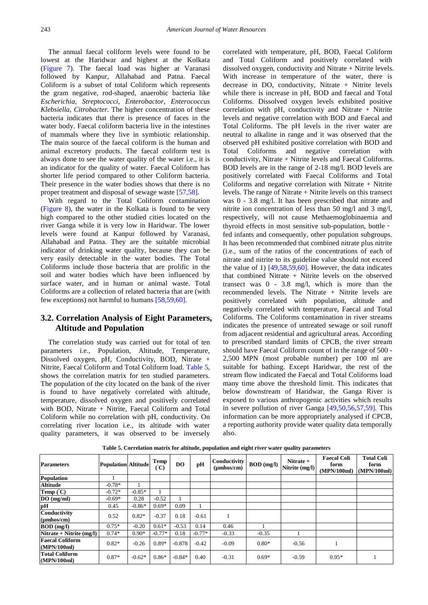The annual faecal coliform levels were found to be lowest at the Haridwar and highest at the Kolkata [\(Figure 7\)](#page-7-1). The faecal load was higher at Varanasi followed by Kanpur, Allahabad and Patna. Faecal Coliform is a subset of total Coliform which represents the gram negative, rod-shaped, anaerobic bacteria like *Escherichia, Streptococci, Enterobactor*, *Enterococcus Klebsiella*, *Citrobacter.* The higher concentration of these bacteria indicates that there is presence of faces in the water body. Faecal coliform bacteria live in the intestines of mammals where they live in symbiotic relationship. The main source of the faecal coliform is the human and animal excretory products. The faecal coliform test is always done to see the water quality of the water i.e., it is an indicator for the quality of water. Faecal Coliform has shorter life period compared to other Coliform bacteria. Their presence in the water bodies shows that there is no proper treatment and disposal of sewage waste [\[57,58\].](#page-10-10)

With regard to the Total Coliform contamination [\(Figure 8\)](#page-7-2), the water in the Kolkata is found to be very high compared to the other studied cities located on the river Ganga while it is very low in Haridwar. The lower levels were found at Kanpur followed by Varanasi, Allahabad and Patna. They are the suitable microbial indicator of drinking water quality, because they can be very easily detectable in the water bodies. The Total Coliforms include those bacteria that are prolific in the soil and water bodies which have been influenced by surface water, and in human or animal waste. Total Coliforms are a collection of related bacteria that are (with few exceptions) not harmful to humans [\[58,59,60\].](#page-10-11)

## **3.2. Correlation Analysis of Eight Parameters, Altitude and Population**

The correlation study was carried out for total of ten parameters i.e., Population, Altitude, Temperature, Dissolved oxygen, pH, Conductivity, BOD, Nitrate + Nitrite, Faecal Coliform and Total Coliform load. [Table 5,](#page-8-0) shows the correlation matrix for ten studied parameters. The population of the city located on the bank of the river is found to have negatively correlated with altitude, temperature, dissolved oxygen and positively correlated with BOD, Nitrate + Nitrite, Faecal Coliform and Total Coliform while no correlation with pH, conductivity. On correlating river location i.e., its altitude with water quality parameters, it was observed to be inversely

correlated with temperature, pH, BOD, Faecal Coliform and Total Coliform and positively correlated with dissolved oxygen, conductivity and Nitrate + Nitrite levels. With increase in temperature of the water, there is decrease in DO, conductivity, Nitrate + Nitrite levels while there is increase in pH, BOD and faecal and Total Coliforms. Dissolved oxygen levels exhibited positive correlation with pH, conductivity and Nitrate + Nitrite levels and negative correlation with BOD and Faecal and Total Coliforms. The pH levels in the river water are neutral to alkaline in range and it was observed that the observed pH exhibited positive correlation with BOD and Total Coliforms and negative correlation with conductivity, Nitrate + Nitrite levels and Faecal Coliforms. BOD levels are in the range of 2-18 mg/l. BOD levels are positively correlated with Faecal Coliforms and Total Coliforms and negative correlation with Nitrate + Nitrite levels. The range of Nitrate + Nitrite levels on this transect was 0 - 3.8 mg/l. It has been prescribed that nitrate and nitrite ion concentration of less than 50 mg/l and 3 mg/l, respectively, will not cause Methaemoglobinaemia and thyroid effects in most sensitive sub-population, bottle‐ fed infants and consequently, other population subgroups. It has been recommended that combined nitrate plus nitrite (i.e., sum of the ratios of the concentrations of each of nitrate and nitrite to its guideline value should not exceed the value of 1) [\[49,58,59,60\].](#page-10-12) However, the data indicates that combined Nitrate + Nitrite levels on the observed transect was 0 - 3.8 mg/l, which is more than the recommended levels. The Nitrate + Nitrite levels are positively correlated with population, altitude and negatively correlated with temperature, Faecal and Total Coliforms. The Coliforms contamination in river streams indicates the presence of untreated sewage or soil runoff from adjacent residential and agricultural areas. According to prescribed standard limits of CPCB, the river stream should have Faecal Coliform count of in the range of 500 - 2,500 MPN (most probable number) per 100 ml are suitable for bathing. Except Haridwar, the rest of the stream flow indicated the Faecal and Total Coliforms load many time above the threshold limit. This indicates that below downstream of Haridwar, the Ganga River is exposed to various anthropogenic activities which results in severe pollution of river Ganga [\[49,50,56,57,59\].](#page-10-12) This information can be more appropriately analysed if CPCB, a reporting authority provide water quality data temporally also.

<span id="page-8-0"></span>

| <b>Parameters</b>                       | <b>Population Altitude</b> |          | Temp<br>C) | DO.      | pH       | Conductivity<br>$(\mu \text{mhos/cm})$ | <b>BOD</b> (mg/l) | Nitrate $+$<br>Nitrite (mg/l) | <b>Faecal Coli</b><br>form<br>(MPN/100ml) | <b>Total Coli</b><br>form<br>(MPN/100ml) |
|-----------------------------------------|----------------------------|----------|------------|----------|----------|----------------------------------------|-------------------|-------------------------------|-------------------------------------------|------------------------------------------|
| <b>Population</b>                       |                            |          |            |          |          |                                        |                   |                               |                                           |                                          |
| <b>Altitude</b>                         | $-0.78*$                   |          |            |          |          |                                        |                   |                               |                                           |                                          |
| <b>Temp</b> $(C)$                       | $-0.72*$                   | $-0.85*$ |            |          |          |                                        |                   |                               |                                           |                                          |
| DO(mg/ml)                               | $-0.69*$                   | 0.28     | $-0.52$    |          |          |                                        |                   |                               |                                           |                                          |
| pH                                      | 0.45                       | $-0.86*$ | $0.69*$    | 0.09     |          |                                        |                   |                               |                                           |                                          |
| Conductivity<br>$(\mu m \text{hos/cm})$ | 0.52                       | $0.82*$  | $-0.37$    | 0.18     | $-0.61$  |                                        |                   |                               |                                           |                                          |
| $BOD$ (mg/l)                            | $0.75*$                    | $-0.20$  | $0.61*$    | $-0.53$  | 0.14     | 0.46                                   |                   |                               |                                           |                                          |
| Nitrate + Nitrite $(mg/l)$              | $0.74*$                    | $0.90*$  | $-0.77*$   | 0.18     | $-0.77*$ | $-0.33$                                | $-0.35$           |                               |                                           |                                          |
| <b>Faecal Coliform</b><br>(MPN/100ml)   | $0.82*$                    | $-0.26$  | $0.89*$    | $-0.878$ | $-0.42$  | $-0.09$                                | $0.80*$           | $-0.56$                       |                                           |                                          |
| Total Coliform<br>(MPN/100ml)           | $0.87*$                    | $-0.62*$ | $0.86*$    | $-0.84*$ | 0.40     | $-0.31$                                | $0.69*$           | $-0.59$                       | $0.95*$                                   |                                          |

**Table 5. Correlation matrix for altitude, population and eight river water quality parameters**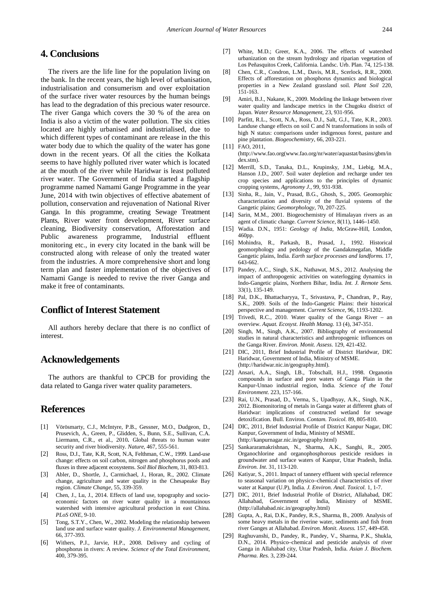## **4. Conclusions**

The rivers are the life line for the population living on the bank. In the recent years, the high level of urbanisation, industrialisation and consumerism and over exploitation of the surface river water resources by the human beings has lead to the degradation of this precious water resource. The river Ganga which covers the 30 % of the area on India is also a victim of the water pollution. The six cities located are highly urbanised and industrialised, due to which different types of contaminant are release in the this water body due to which the quality of the water has gone down in the recent years. Of all the cities the Kolkata seems to have highly polluted river water which is located at the mouth of the river while Haridwar is least polluted river water. The Government of India started a flagship programme named Namami Gange Programme in the year June, 2014 with twin objectives of effective abatement of pollution, conservation and rejuvenation of National River Ganga. In this programme, creating Sewage Treatment Plants, River water front development, River surface cleaning, Biodiversity conservation, Afforestation and Public awareness programme, Industrial effluent monitoring etc., in every city located in the bank will be constructed along with release of only the treated water from the industries. A more comprehensive short and long term plan and faster implementation of the objectives of Namami Gange is needed to revive the river Ganga and make it free of contaminants.

## **Conflict of Interest Statement**

All authors hereby declare that there is no conflict of interest.

## **Acknowledgements**

The authors are thankful to CPCB for providing the data related to Ganga river water quality parameters.

## **References**

- <span id="page-9-0"></span>[1] Vörösmarty, C.J., McIntyre, P.B., Gessner, M.O., Dudgeon, D., Prusevich, A., Green, P., Glidden, S., Bunn, S.E., Sullivan, C.A. Liermann, C.R., et al., 2010**.** Global threats to human water security and river biodiversity. *Nature*, 467, 555-561.
- <span id="page-9-1"></span>[2] Ross, D.J., Tate, K.R, Scott, N.A, Felthman, C.W., 1999. Land-use change: effects on soil carbon, nitrogen and phosphorus pools and fluxes in three adjacent ecosystems. *Soil Biol Biochem*, 31, 803-813.
- [3] Abler, D., Shortle, J., Carmichael, J., Horan, R., 2002. Climate change, agriculture and water quality in the Chesapeake Bay region. *Climate Change*, 55, 339-359.
- [4] Chen, J., Lu, J., 2014. Effects of land use, topography and socioeconomic factors on river water quality in a mountainous watershed with intensive agricultural production in east China. *PLoS ONE*, 9-10.
- <span id="page-9-2"></span>[5] Tong, S.T.Y., Chen, W., 2002. Modeling the relationship between land use and surface water quality. *J. Environmental Management*, 66, 377-393.
- [6] Withers, P.J., Jarvie, H.P., 2008. Delivery and cycling of phosphorus in rivers: A review. *Science of the Total Environment*, 400, 379-395.
- [7] White, M.D.; Greer, K.A., 2006. The effects of watershed urbanization on the stream hydrology and riparian vegetation of Los Peñasquitos Creek, California. Landsc. Urb. Plan. 74, 125-138.
- <span id="page-9-3"></span>[8] Chen, C.R., Condron, L.M., Davis, M.R., Scerlock, R.R., 2000. Effects of afforestation on phosphorus dynamics and biological properties in a New Zealand grassland soil. *Plant Soil* 220, 151-163.
- [9] Amiri, B.J., Nakane, K., 2009. Modeling the linkage between river water quality and landscape metrics in the Chugoku district of Japan. *Water Resource Management*, 23, 931-956.
- [10] Parfitt, R.L., Scott, N.A., Ross, D.J., Salt, G.J., Tate, K.R., 2003. Landuse change effects on soil C and N transformations in soils of high N status: comparisons under indigenous forest, pasture and pine plantation. *Biogeochemistry*, 66, 203-221.
- <span id="page-9-4"></span>[11] FAO, 2011,
- (http://www.fao.org(www.fao.org/nr/water/aquastat/basins/gbm/in dex.stm).
- [12] Merrill, S.D., Tanaka, D.L., Krupinsky, J.M., Liebig, M.A., Hanson J.D., 2007. Soil water depletion and recharge under ten crop species and applications to the principles of dynamic cropping systems, *Agronomy J.*, 99, 931-938.
- <span id="page-9-5"></span>[13] Sinha, R., Jain, V., Prasad, B.G., Ghosh, S., 2005. Geomorphic characterization and diversity of the fluvial systems of the Gangetic plains; *Geomorphology,* 70, 207-225.
- [14] Sarin, M.M., 2001. Biogeochemistry of Himalayan rivers as an agent of climatic change. *Current Science*, 8(11), 1446–1450.
- [15] Wadia. D.N., 1951: *Geology of India,* McGraw-Hill, London, 460pp.
- <span id="page-9-6"></span>[16] Mohindra, R., Parkash, B., Prasad, J., 1992. Historical geomorphology and pedology of the Gandakmegafan, Middle Gangetic plains, India. *Earth surface processes and landforms.* 17, 643-662.
- [17] Pandey, A.C., Singh, S.K., Nathawat, M.S., 2012. Analysing the impact of anthropogenic activities on waterlogging dynamics in Indo-Gangetic plains, Northern Bihar, India*. Int. J. Remote Sens.*  33(1), 135-149.
- [18] Pal, D.K., Bhattacharyya, T., Srivastava, P., Chandran, P., Ray, S.K., 2009. Soils of the Indo-Gangetic Plains: their historical perspective and management. *Current Science*, 96, 1193-1202.
- [19] Trivedi, R.C., 2010. Water quality of the Ganga River an overview. *Aquat. Ecosyst. Health Manag.* 13 (4), 347-351.
- [20] Singh, M., Singh, A.K., 2007. Bibliography of environmental studies in natural characteristics and anthropogenic influences on the Ganga River. *Environ. Monit. Assess.* 129, 421-432.
- <span id="page-9-7"></span>[21] DIC, 2011, Brief Industrial Profile of District Haridwar, DIC Haridwar, Government of India, Ministry of MSME. (http://haridwar.nic.in/geography.html).
- [22] Ansari, A.A., Singh, I.B., Tobschall, H.J., 1998. Organotin compounds in surface and pore waters of Ganga Plain in the Kanpur-Unnao industrial region, India. *Science of the Total Environment*. 223, 157-166.
- [23] Rai, U.N., Prasad, D., Verma, S., Upadhyay, A.K., Singh, N.K., 2012. Biomonitoring of metals in Ganga water at different ghats of Haridwar: implications of constructed wetland for sewage detoxification. Bull. Environ. *Contam. Toxicol.* 89, 805-810.
- <span id="page-9-8"></span>[24] DIC, 2011, Brief Industrial Profile of District Kanpur Nagar, DIC Kanpur, Government of India, Ministry of MSME. (http://kanpurnagar.nic.in/geography.html)
- [25] Sankararamakrishnan, N., Sharma, A.K., Sanghi, R., 2005. Organochlorine and organophosphorous pesticide residues in groundwater and surface waters of Kanpur, Uttar Pradesh, India. *Environ. Int*. 31, 113-120.
- [26] Katiyar, S., 2011. Impact of tannery effluent with special reference to seasonal variation on physico–chemical characteristics of river water at Kanpur (U.P), India. *J. Environ. Anal. Toxicol.* 1, 1-7.
- <span id="page-9-9"></span>[27] DIC, 2011, Brief Industrial Profile of District, Allahabad, DIC Allahabad, Government of India, Ministry of MSME. (http://allahabad.nic.in/geography.html)
- [28] Gupta, A., Rai, D.K., Pandey, R.S., Sharma, B., 2009. Analysis of some heavy metals in the riverine water, sediments and fish from river Ganges at Allahabad. *Environ. Monit. Assess.* 157, 449-458.
- [29] Raghuvanshi, D., Pandey, R., Pandey, V., Sharma, P.K., Shukla, D.N., 2014. Physico–chemical and pesticide analysis of river Ganga in Allahabad city, Uttar Pradesh, India. *Asian J. Biochem. Pharma. Res.* 3, 239-244.